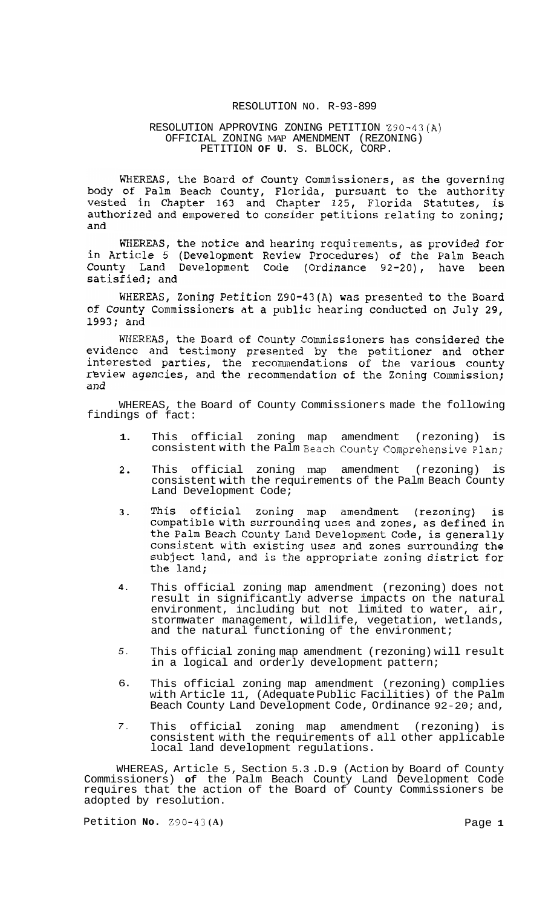# RESOLUTION NO. R-93-899

# RESOLUTION APPROVING ZONING PETITION Z90-43(A) PETITION **OF U.** S. BLOCK, CORP. OFFICIAL ZONING MAP AMENDMENT (REZONING)

WHEREAS, the Board of County Commissioners, as the governing body of Palm Beach County, Florida, pursuant to the authority<br>vested in Chapter 163 and Chapter 125, Florida Statutes, is authorized and empowered to consider petitions relating to zoning; and

WHEREAS, the notice and hearing requirements, as provided for in Article 5 (Development Review Procedures) of the Palm Beach<br>County Land Development Code (Ordinance 92-20), have been satisfied; and

WHEREAS, Zoning Petition Z90-43(A) was presented to the Board of County Commissioners at a public hearing conducted on July 29, 1993; and

WHEREAS, the Board of County Commissioners has considered the<br>evidence and testimony presented by the petitioner and other interested parties, the recommendations of the various county review agencies, and the recommendation of the Zoning Commission; and

WHEREAS, the Board of County Commissioners made the following findings of fact:

- **1.**  This official zoning map amendment (rezoning) is consistent with the Palm Beach County Comprehensive plan;
- This official zoning map amendment (rezoning) is 2. consistent with the requirements of the Palm Beach County Land Development Code;
- This official zoning map amendment (rezoning) **3.**  is compatible with surrounding uses and zones, as defined in the Palm Beach County Land Development Code, is generally consistent with existing uses and zones surrounding the subject land, and is the appropriate zoning district for the land;
- **4.**  This official zoning map amendment (rezoning) does not result in significantly adverse impacts on the natural environment, including but not limited to water, air, stormwater management, wildlife, vegetation, wetlands, and the natural functioning of the environment;
- *5.*  This official zoning map amendment (rezoning) will result in a logical and orderly development pattern;
- 6. This official zoning map amendment (rezoning) complies with Article 11, (Adequate Public Facilities) of the Palm Beach County Land Development Code, Ordinance 92-20; and,
- *7.*  This official zoning map amendment (rezoning) is consistent with the requirements of all other applicable local land development regulations.

WHEREAS, Article 5, Section 5.3 .D.9 (Action by Board of County Commissioners) **of** the Palm Beach County Land Development Code requires that the action of the Board of County Commissioners be adopted by resolution.

Petition **No.** 230-43 **(A)** Page **1**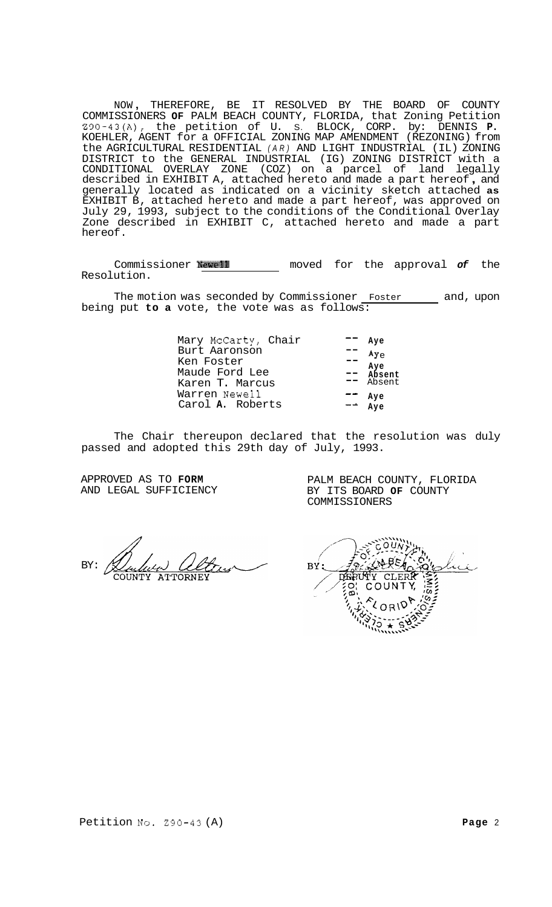NOW , THEREFORE, BE IT RESOLVED BY THE BOARD OF COUNTY COMMISSIONERS **OF** PALM BEACH COUNTY, FLORIDA, that Zoning Petition Z90-43(A), the petition of U. S. BLOCK, CORP. by: DENNIS **P.**  KOEHLER, AGENT for a OFFICIAL ZONING MAP AMENDMENT (REZONING) from the AGRICULTURAL RESIDENTIAL *(AR)* AND LIGHT INDUSTRIAL (IL) ZONING DISTRICT to the GENERAL INDUSTRIAL (IG) ZONING DISTRICT with a CONDITIONAL OVERLAY ZONE (COZ) on a parcel of land legally described in EXHIBIT A, attached hereto and made a part hereof , and generally located as indicated on a vicinity sketch attached **as**  EXHIBIT B, attached hereto and made a part hereof, was approved on July 29, 1993, subject to the conditions of the Conditional Overlay Zone described in EXHIBIT C, attached hereto and made a part hereof.

Commissioner **Newell** moved for the approval *of* the Resolution.

The motion was seconded by Commissioner Foster 10 and, upon being put **to a** vote, the vote was as follows:

| Mary McCarty, Chair | Ave       |
|---------------------|-----------|
| Burt Aaronson       | $Ay \sim$ |
| Ken Foster          | Aye       |
| Maude Ford Lee      | Absent    |
| Karen T. Marcus     | Absent    |
| Warren Newell       | Ave       |
| Carol A. Roberts    | Ave       |
|                     |           |

The Chair thereupon declared that the resolution was duly passed and adopted this 29th day of July, 1993.

APPROVED AS TO **FORM**  AND LEGAL SUFFICIENCY

BY:

BY: DEPUY COUNT

PALM BEACH COUNTY, FLORIDA BY ITS BOARD **OF** COUNTY

COMMISSIONERS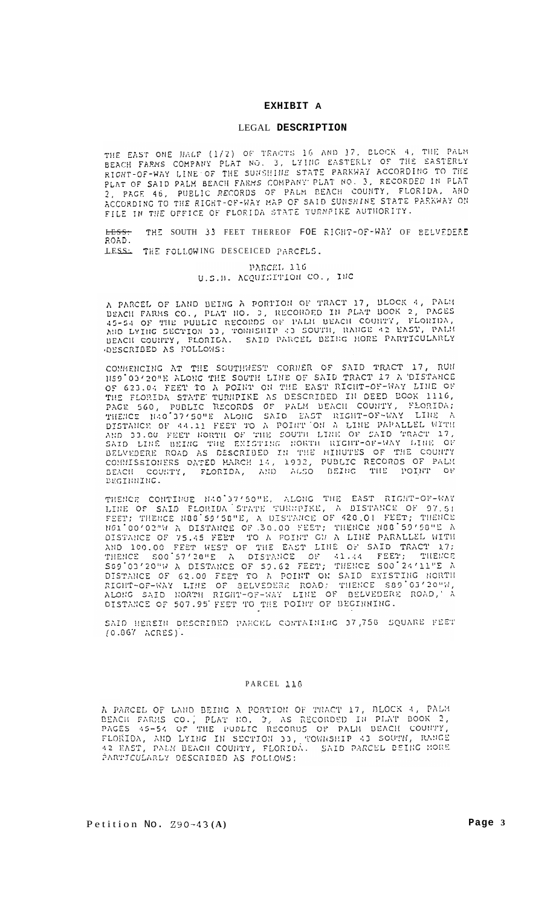# **EXHIBIT A**

#### LEGAL **DESCRIPTION**

HUMI OF SAID PALM BEACH FARMS COMPANY PLAT NO. 3, RECORDED IN PLAT<br>2, PAGE 46, PUBLIC RECORDS OF PALM BEACH COUNTY, FLORIDA, AND<br>ACCORDING TO THE RIGHT-OF-WAY MAP OF SAID SUNSHINE STATE PARKWAY ON<br>FILE IN THE OFFICE OF FLO

ROhD.

A PARCEL OF LAND BEING A PORTION OF TRACT 17, BLOCK 4, PALM BEACH FARMS CO., PLAT NO. 3, RECORDED IN PLAT BOOK 2, PAGES 45-54 OF THE PUBLIC RECORDS OF PALM BEACH COUNTY, FLORIDA, AND LYING SECTION 33, TOWNSHIP 43 SOUTH, RA BEACH COUNTY, FLORIDA

COMMENCING AT THE SOUTHWEST CORNER OF SAID TRACT 17, RUN 1189'03'20"E ALONG THE SOUTH LINE OF SAID TRACT 17 A DISTANCE OF 623.04 FEET TO A POINT ON THE EAST RIGHT-OF-WAY LINE OF G23.04 FEET TO A POINT ON THE EAST RIGHT-OF-WAY LINE OF THE FLORIDA STATE TURNPIKE AS DESCRIBED IN DEED BOOK TITO,<br>PAGE 560, PUBLIC RECORDS OF PALM BEACH COUNTY, FLORIDA;<br>THENCE NAO'37'50"E ALONG SAID EAST RIGHT-OF-WAY LINE A<br>DISTANCE OF 44.11 FEET TO A POINT ON A LINE PAPALLEL COMMISSIONERS DATED MARCH 14, 1932, PUBLIC RECORDS OF PALM DEACH COUNTY, FLORIDA, AND ALSO BEING THE POINT OF DEGINNING.

THENCE CONTINUE NAO'37'50"E, ALONG THE EAST RIGHT-OF-WAY<br>LINE OF SAID FLORIDA STATE TURRPIKE, A DISTANCE OF 97.51<br>FEET; THENCE NOO'59'50"E, A DISTANCE OF 420.01 FEET; THENCE<br>ROO'00"WA DISTANCE OF 30.00 FEET; THENCE NOO'59'

SAID HEREIN DESCRIBED PARCEL CONTAINING 37,756 SQUARE FEET  $(0.867 \text{ ACRES})$ .

#### PARCEL **llE**

A PARCEL OF LAND BEING A PORTION OF TRACT 17, BLOCK 4, PALM BEACH FARMS CO.; PLAT NO. 3, AS RECORDED IN PLAT BOOK 2, PAGES 45-54 OF THE PUBLIC RECORDS OF PALM BEACH COUNTY, FLORIDA, AND LYING IN SECTION 33, TOWNSHIP 43 SOUTH, RANGE 42 EAST, PALM BEACH COUNTY, FLORIDA. SAID PARCEL BEING MORE PARTICULARLY DESCRIBED AS FOLLOWS:

Petition No. 290-43 **(A) Page 3**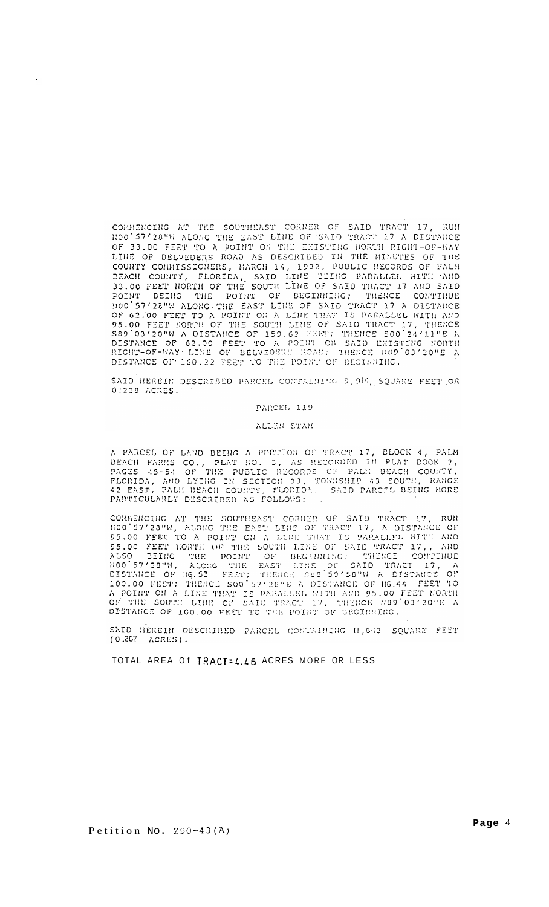COMMENCING AT THE SOUTHEAST CORNER OF SAID TRACT 17, RUN NOO'57'20"W ALONG THE EAST LINE OF SAID TRACT 17 A DISTANCE OF 33.00 FEET TO A POINT ON THE EXISTING NORTH RIGHT-OF-WAY LINE OF BELVEDERE ROAD AS DESCRIBED IN THE MINUTES OF THE COUNTY COMMISSIONERS, MARCH 14, 1932, PUBLIC RECORDS OF PALM<br>BEACH COUNTY, FLORIDA, SAID LINE BEING PARALLEL WITH AND<br>BEACH COUNTY, FLORIDA, SAID LINE BEING PARALLEL WITH AND<br>33.00 FEET NORTH OF THE SOUTH LINE OF SAID TRAC HOO'57'28"W ALONG THE EAST LINE OF SAID TRACT 17 A DISTANCE 100 57'28"W ALONG THE EAST LINE OF SAID TRACT 17 A DISTANCE<br>OF 62.00 FEET TO A POINT ON A LINE THAT IS PARALLEL WITH AND<br>95.00 FEET NORTH OF THE SOUTH LINE OF SAID TRACT 17, THENCE<br>589'03'20"W A DISTANCE OF 159.62 FEET; TH

SAID HEREIN DESCRIBED PARCEL CONTAINING 9, 914, SQUARE FEET OR 0:228 ACRES.

#### PARCEL 119

#### ALLEN STAN

A PARCEL OF LAND BEING A PORTION OF TRACT 17, BLOCK 4, PALM BEACH FARMS CO., PLAT NO. 3, AS RECORDED IN PLAT BOOK 2, PAGES 45-54 OF THE PUBLIC RECORDS OF PALM BEACH COUNTY, FLORIDA, AND LYING IN SECTION 33, TOWNSHIP 43 SOUTH, RANGE 42 EAST, PALM BEACH COUNTY, FLORIDA. SAID PARCEL BEING MORE PARTICULARLY DESCRIBED AS FOLLOWS:

COMMENCING AT THE SOUTHEAST CORNER OF SAID TRACT 17, RUN NOO'57'23"W, ALONG THE EAST LINE OF TRACT 17, A DISTANCE OF 95.00 FEET TO A POINT ON A LINE THAT IS PARALLEL WITH AND 95.00 FEET NORTH OF THE SOUTH LINE OF SAID TRAC OF BEGINNING: THENCE CONTINUE<br>EAST LINE OF SAID TRACT 17, A<br>THENCE S80 59'58"W A DISTANCE OF 1100 57'28"N, ALCNG THE DISTANCE OF H6.53 FEET; THENCE S88'59'S8"W A DISTANCE OF A POINT ON A LINE THAT IS PARALLEL WITH AND 95.00 FEET NORTH A POINT ON A LINE THAT IS PARALLEL WITH AND 95.00 FEET NORTH OF DISTANCE OF 100.00 FEET TO THE POINT OF BEGINNING.

SAID HEREIN DESCRIBED PARCEL CONTAINING H.648 SQUARE FEET (0.267 ACRES).

TOTAL AREA Of TRACT=4.46 ACRES MORE OR LESS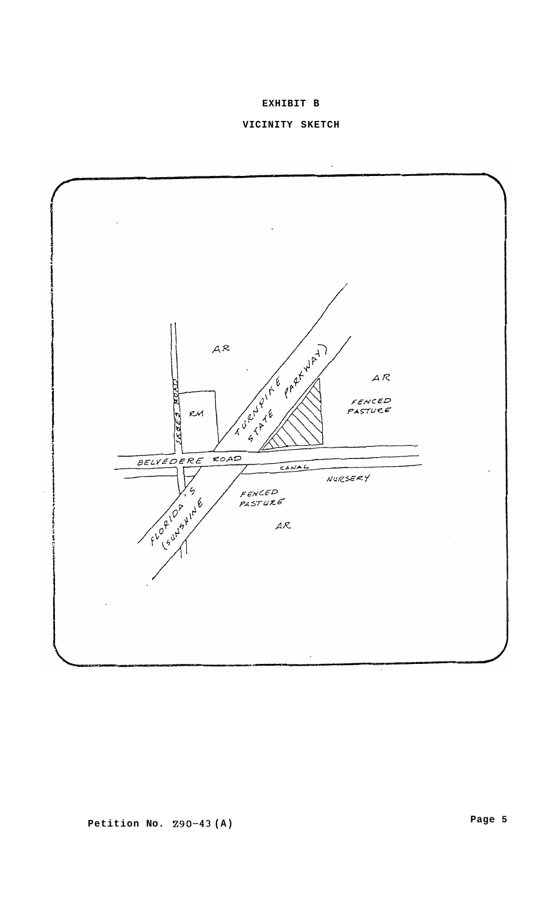**EXHIBIT B** 



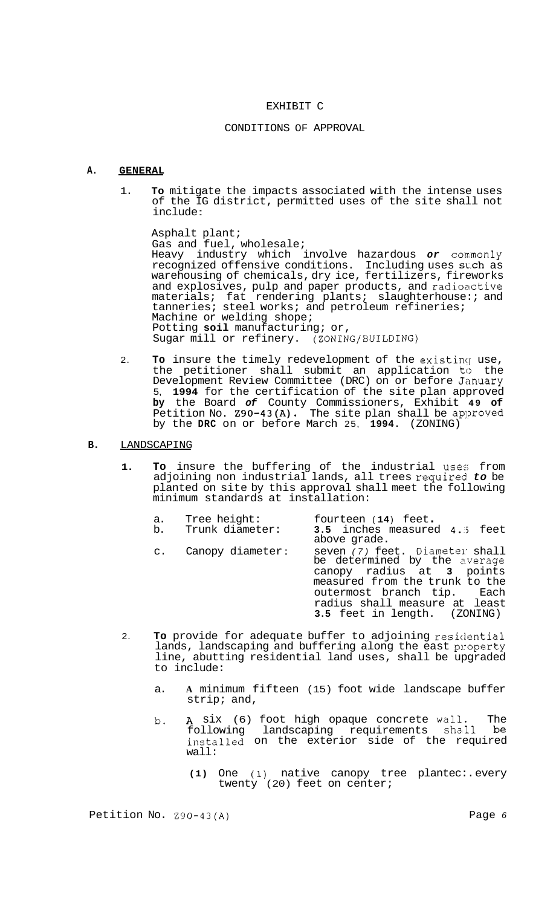# EXHIBIT C

# CONDITIONS OF APPROVAL

### **A. GENERAL**

1. **To** mitigate the impacts associated with the intense uses of the IG district, permitted uses of the site shall not include :

Asphalt plant; Gas and fuel, wholesale; Heavy industry which involve hazardous or commonly recognized offensive conditions. Including uses such as warehousing of chemicals, dry ice, fertilizers, fireworks and explosives, pulp and paper products, and radioactive materials; fat rendering plants; slaughterhouse:; and tanneries; steel works; and petroleum refineries; Machine or welding shope; Potting **soil** manufacturing; or, Sugar mill or refinery. (ZONING/BUILDING)

2. **To** insure the timely redevelopment of the existinq use, the petitioner shall submit an application to the Development Review Committee (DRC) on or before January 5, **1994** for the certification of the site plan approved **by** the Board *of* County Commissioners, Exhibit **49 of**  Petition No. **Z90-43(A).** The site plan shall be approved by the **DRC** on or before March 25, **1994.** (ZONING)

# **B.** LANDSCAPING

**1. To** insure the buffering of the industrial uses from adjoining non industrial lands, all trees requiredl *to* be planted on site by this approval shall meet the following minimum standards at installation:

| a.<br>b.       | Tree height:<br>Trunk diameter: | fourteen (14) feet.<br>3.5 inches measured 4.5 feet<br>above grade.                                                                                                                                                          |
|----------------|---------------------------------|------------------------------------------------------------------------------------------------------------------------------------------------------------------------------------------------------------------------------|
| $\mathsf{C}$ . | Canopy diameter:                | seven (7) feet. Diameter shall<br>be determined by the average<br>canopy radius at 3 points<br>measured from the trunk to the<br>outermost branch tip. Each<br>radius shall measure at least<br>3.5 feet in length. (ZONING) |

- 2. **To** provide for adequate buffer to adjoining residential lands, landscaping and buffering along the east property line, abutting residential land uses, shall be upgraded to include:
	- a. **A** minimum fifteen (15) foot wide landscape buffer strip; and,
	- b. A six (6) foot high opaque concrete wall. The following landscaping requirements shall be installed on the exterior side of the required wall:
		- **(1)** One (1) native canopy tree plantec:. every twenty (20) feet on center;

Petition No. **Z90-43(A)** Page *6*